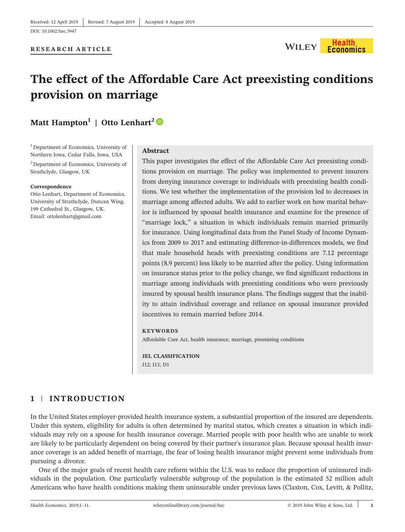

# **The effect of the Affordable Care Act preexisting conditions provision on marriage**

# **Matt Hampton<sup>1</sup> | Otto Lenhart<sup>2</sup>**

<sup>1</sup> Department of Economics, University of Northern Iowa, Cedar Falls, Iowa, USA

2 Department of Economics, University of Strathclyde, Glasgow, UK

#### **Correspondence**

Otto Lenhart, Department of Economics, University of Strathclyde, Duncan Wing, 199 Cathedral St., Glasgow, UK. Email: ottolenhart@gmail.com

#### **Abstract**

This paper investigates the effect of the Affordable Care Act preexisting conditions provision on marriage. The policy was implemented to prevent insurers from denying insurance coverage to individuals with preexisting health conditions. We test whether the implementation of the provision led to decreases in marriage among affected adults. We add to earlier work on how marital behavior is influenced by spousal health insurance and examine for the presence of "marriage lock," a situation in which individuals remain married primarily for insurance. Using longitudinal data from the Panel Study of Income Dynamics from 2009 to 2017 and estimating difference‐in‐differences models, we find that male household heads with preexisting conditions are 7.12 percentage points (8.9 percent) less likely to be married after the policy. Using information on insurance status prior to the policy change, we find significant reductions in marriage among individuals with preexisting conditions who were previously insured by spousal health insurance plans. The findings suggest that the inability to attain individual coverage and reliance on spousal insurance provided incentives to remain married before 2014.

#### **KEYWORDS**

Affordable Care Act, health insurance, marriage, preexisting conditions

**JEL CLASSIFICATION** J12; I13; D1

## **1** | **INTRODUCTION**

In the United States employer‐provided health insurance system, a substantial proportion of the insured are dependents. Under this system, eligibility for adults is often determined by marital status, which creates a situation in which individuals may rely on a spouse for health insurance coverage. Married people with poor health who are unable to work are likely to be particularly dependent on being covered by their partner's insurance plan. Because spousal health insurance coverage is an added benefit of marriage, the fear of losing health insurance might prevent some individuals from pursuing a divorce.

One of the major goals of recent health care reform within the U.S. was to reduce the proportion of uninsured individuals in the population. One particularly vulnerable subgroup of the population is the estimated 52 million adult Americans who have health conditions making them uninsurable under previous laws (Claxton, Cox, Levitt, & Pollitz,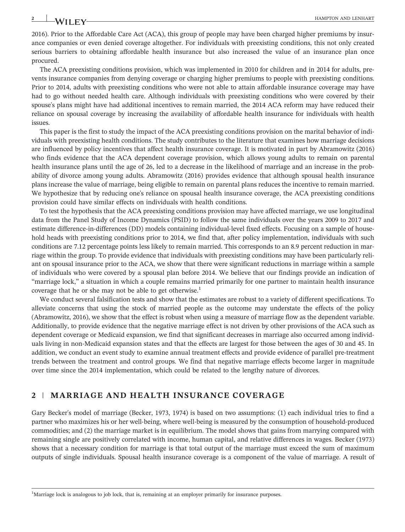2016). Prior to the Affordable Care Act (ACA), this group of people may have been charged higher premiums by insurance companies or even denied coverage altogether. For individuals with preexisting conditions, this not only created serious barriers to obtaining affordable health insurance but also increased the value of an insurance plan once procured.

The ACA preexisting conditions provision, which was implemented in 2010 for children and in 2014 for adults, prevents insurance companies from denying coverage or charging higher premiums to people with preexisting conditions. Prior to 2014, adults with preexisting conditions who were not able to attain affordable insurance coverage may have had to go without needed health care. Although individuals with preexisting conditions who were covered by their spouse's plans might have had additional incentives to remain married, the 2014 ACA reform may have reduced their reliance on spousal coverage by increasing the availability of affordable health insurance for individuals with health issues.

This paper is the first to study the impact of the ACA preexisting conditions provision on the marital behavior of individuals with preexisting health conditions. The study contributes to the literature that examines how marriage decisions are influenced by policy incentives that affect health insurance coverage. It is motivated in part by Abramowitz (2016) who finds evidence that the ACA dependent coverage provision, which allows young adults to remain on parental health insurance plans until the age of 26, led to a decrease in the likelihood of marriage and an increase in the probability of divorce among young adults. Abramowitz (2016) provides evidence that although spousal health insurance plans increase the value of marriage, being eligible to remain on parental plans reduces the incentive to remain married. We hypothesize that by reducing one's reliance on spousal health insurance coverage, the ACA preexisting conditions provision could have similar effects on individuals with health conditions.

To test the hypothesis that the ACA preexisting conditions provision may have affected marriage, we use longitudinal data from the Panel Study of Income Dynamics (PSID) to follow the same individuals over the years 2009 to 2017 and estimate difference-in-differences (DD) models containing individual-level fixed effects. Focusing on a sample of household heads with preexisting conditions prior to 2014, we find that, after policy implementation, individuals with such conditions are 7.12 percentage points less likely to remain married. This corresponds to an 8.9 percent reduction in marriage within the group. To provide evidence that individuals with preexisting conditions may have been particularly reliant on spousal insurance prior to the ACA, we show that there were significant reductions in marriage within a sample of individuals who were covered by a spousal plan before 2014. We believe that our findings provide an indication of "marriage lock," a situation in which a couple remains married primarily for one partner to maintain health insurance coverage that he or she may not be able to get otherwise.<sup>1</sup>

We conduct several falsification tests and show that the estimates are robust to a variety of different specifications. To alleviate concerns that using the stock of married people as the outcome may understate the effects of the policy (Abramowitz, 2016), we show that the effect is robust when using a measure of marriage flow as the dependent variable. Additionally, to provide evidence that the negative marriage effect is not driven by other provisions of the ACA such as dependent coverage or Medicaid expansion, we find that significant decreases in marriage also occurred among individuals living in non‐Medicaid expansion states and that the effects are largest for those between the ages of 30 and 45. In addition, we conduct an event study to examine annual treatment effects and provide evidence of parallel pre‐treatment trends between the treatment and control groups. We find that negative marriage effects become larger in magnitude over time since the 2014 implementation, which could be related to the lengthy nature of divorces.

### **2** | **MARRIAGE AND HEALTH INSURANCE COVERAGE**

Gary Becker's model of marriage (Becker, 1973, 1974) is based on two assumptions: (1) each individual tries to find a partner who maximizes his or her well‐being, where well‐being is measured by the consumption of household‐produced commodities; and (2) the marriage market is in equilibrium. The model shows that gains from marrying compared with remaining single are positively correlated with income, human capital, and relative differences in wages. Becker (1973) shows that a necessary condition for marriage is that total output of the marriage must exceed the sum of maximum outputs of single individuals. Spousal health insurance coverage is a component of the value of marriage. A result of

<sup>&</sup>lt;sup>1</sup>Marriage lock is analogous to job lock, that is, remaining at an employer primarily for insurance purposes.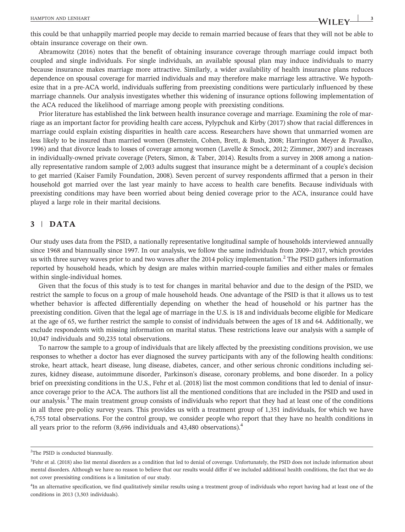this could be that unhappily married people may decide to remain married because of fears that they will not be able to obtain insurance coverage on their own.

Abramowitz (2016) notes that the benefit of obtaining insurance coverage through marriage could impact both coupled and single individuals. For single individuals, an available spousal plan may induce individuals to marry because insurance makes marriage more attractive. Similarly, a wider availability of health insurance plans reduces dependence on spousal coverage for married individuals and may therefore make marriage less attractive. We hypothesize that in a pre‐ACA world, individuals suffering from preexisting conditions were particularly influenced by these marriage channels. Our analysis investigates whether this widening of insurance options following implementation of the ACA reduced the likelihood of marriage among people with preexisting conditions.

Prior literature has established the link between health insurance coverage and marriage. Examining the role of marriage as an important factor for providing health care access, Pylypchuk and Kirby (2017) show that racial differences in marriage could explain existing disparities in health care access. Researchers have shown that unmarried women are less likely to be insured than married women (Bernstein, Cohen, Brett, & Bush, 2008; Harrington Meyer & Pavalko, 1996) and that divorce leads to losses of coverage among women (Lavelle & Smock, 2012; Zimmer, 2007) and increases in individually-owned private coverage (Peters, Simon, & Taber, 2014). Results from a survey in 2008 among a nationally representative random sample of 2,003 adults suggest that insurance might be a determinant of a couple's decision to get married (Kaiser Family Foundation, 2008). Seven percent of survey respondents affirmed that a person in their household got married over the last year mainly to have access to health care benefits. Because individuals with preexisting conditions may have been worried about being denied coverage prior to the ACA, insurance could have played a large role in their marital decisions.

#### **3** | **DATA**

Our study uses data from the PSID, a nationally representative longitudinal sample of households interviewed annually since 1968 and biannually since 1997. In our analysis, we follow the same individuals from 2009–2017, which provides us with three survey waves prior to and two waves after the 2014 policy implementation.<sup>2</sup> The PSID gathers information reported by household heads, which by design are males within married‐couple families and either males or females within single-individual homes.

Given that the focus of this study is to test for changes in marital behavior and due to the design of the PSID, we restrict the sample to focus on a group of male household heads. One advantage of the PSID is that it allows us to test whether behavior is affected differentially depending on whether the head of household or his partner has the preexisting condition. Given that the legal age of marriage in the U.S. is 18 and individuals become eligible for Medicare at the age of 65, we further restrict the sample to consist of individuals between the ages of 18 and 64. Additionally, we exclude respondents with missing information on marital status. These restrictions leave our analysis with a sample of 10,047 individuals and 50,235 total observations.

To narrow the sample to a group of individuals that are likely affected by the preexisting conditions provision, we use responses to whether a doctor has ever diagnosed the survey participants with any of the following health conditions: stroke, heart attack, heart disease, lung disease, diabetes, cancer, and other serious chronic conditions including seizures, kidney disease, autoimmune disorder, Parkinson's disease, coronary problems, and bone disorder. In a policy brief on preexisting conditions in the U.S., Fehr et al. (2018) list the most common conditions that led to denial of insurance coverage prior to the ACA. The authors list all the mentioned conditions that are included in the PSID and used in our analysis.3 The main treatment group consists of individuals who report that they had at least one of the conditions in all three pre-policy survey years. This provides us with a treatment group of 1,351 individuals, for which we have 6,755 total observations. For the control group, we consider people who report that they have no health conditions in all years prior to the reform (8,696 individuals and 43,480 observations).<sup>4</sup>

<sup>&</sup>lt;sup>2</sup>The PSID is conducted biannually.

<sup>&</sup>lt;sup>3</sup>Fehr et al. (2018) also list mental disorders as a condition that led to denial of coverage. Unfortunately, the PSID does not include information about mental disorders. Although we have no reason to believe that our results would differ if we included additional health conditions, the fact that we do not cover preexisiting conditions is a limitation of our study.

<sup>&</sup>lt;sup>4</sup>In an alternative specification, we find qualitatively similar results using a treatment group of individuals who report having had at least one of the conditions in 2013 (3,503 individuals).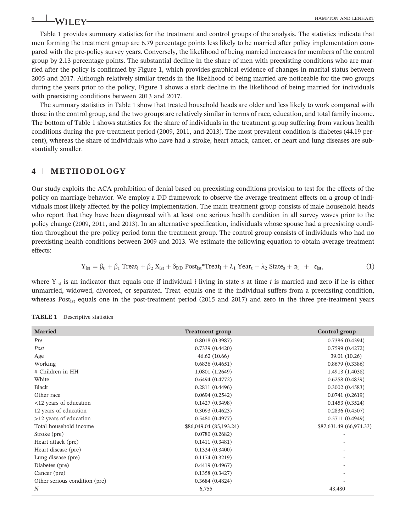Table 1 provides summary statistics for the treatment and control groups of the analysis. The statistics indicate that men forming the treatment group are 6.79 percentage points less likely to be married after policy implementation compared with the pre‐policy survey years. Conversely, the likelihood of being married increases for members of the control group by 2.13 percentage points. The substantial decline in the share of men with preexisting conditions who are married after the policy is confirmed by Figure 1, which provides graphical evidence of changes in marital status between 2005 and 2017. Although relatively similar trends in the likelihood of being married are noticeable for the two groups during the years prior to the policy, Figure 1 shows a stark decline in the likelihood of being married for individuals with preexisting conditions between 2013 and 2017.

The summary statistics in Table 1 show that treated household heads are older and less likely to work compared with those in the control group, and the two groups are relatively similar in terms of race, education, and total family income. The bottom of Table 1 shows statistics for the share of individuals in the treatment group suffering from various health conditions during the pre‐treatment period (2009, 2011, and 2013). The most prevalent condition is diabetes (44.19 percent), whereas the share of individuals who have had a stroke, heart attack, cancer, or heart and lung diseases are substantially smaller.

#### **4** | **METHODOLOGY**

Our study exploits the ACA prohibition of denial based on preexisting conditions provision to test for the effects of the policy on marriage behavior. We employ a DD framework to observe the average treatment effects on a group of individuals most likely affected by the policy implementation. The main treatment group consists of male household heads who report that they have been diagnosed with at least one serious health condition in all survey waves prior to the policy change (2009, 2011, and 2013). In an alternative specification, individuals whose spouse had a preexisting condition throughout the pre‐policy period form the treatment group. The control group consists of individuals who had no preexisting health conditions between 2009 and 2013. We estimate the following equation to obtain average treatment effects:

$$
Y_{ist} = \beta_0 + \beta_1 \text{ Treat}_i + \beta_2 X_{ist} + \delta_{DD} \text{ Post}_{ist} \cdot \text{Treeat}_i + \lambda_1 \text{ Year}_t + \lambda_2 \text{ State}_s + \alpha_i + \epsilon_{ist}, \tag{1}
$$

where  $Y_{\text{ist}}$  is an indicator that equals one if individual *i* living in state *s* at time *t* is married and zero if he is either unmarried, widowed, divorced, or separated. Treat<sub>i</sub> equals one if the individual suffers from a preexisting condition, whereas Post<sub>ist</sub> equals one in the post‐treatment period (2015 and 2017) and zero in the three pre‐treatment years

| <b>Married</b>                | <b>Treatment group</b>  | Control group           |
|-------------------------------|-------------------------|-------------------------|
| Pre                           | 0.8018(0.3987)          | 0.7386(0.4394)          |
| Post                          | 0.7339(0.4420)          | 0.7599(0.4272)          |
| Age                           | 46.62(10.66)            | 39.01 (10.26)           |
| Working                       | 0.6836(0.4651)          | 0.8679(0.3386)          |
| # Children in HH              | 1.0801 (1.2649)         | 1.4913 (1.4038)         |
| White                         | 0.6494(0.4772)          | 0.6258(0.4839)          |
| Black                         | 0.2811(0.4496)          | 0.3002(0.4583)          |
| Other race                    | 0.0694(0.2542)          | 0.0741(0.2619)          |
| <12 years of education        | 0.1427(0.3498)          | 0.1453(0.3524)          |
| 12 years of education         | 0.3093(0.4623)          | 0.2836(0.4507)          |
| >12 years of education        | 0.5480(0.4977)          | 0.5711(0.4949)          |
| Total household income        | \$86,049.04 (85,193.24) | \$87,631.49 (66,974.33) |
| Stroke (pre)                  | 0.0780(0.2682)          |                         |
| Heart attack (pre)            | 0.1411(0.3481)          |                         |
| Heart disease (pre)           | 0.1334(0.3400)          |                         |
| Lung disease (pre)            | 0.1174(0.3219)          |                         |
| Diabetes (pre)                | 0.4419(0.4967)          |                         |
| Cancer (pre)                  | 0.1358(0.3427)          |                         |
| Other serious condition (pre) | 0.3684(0.4824)          |                         |
| $\boldsymbol{N}$              | 6,755                   | 43,480                  |

**TABLE 1** Descriptive statistics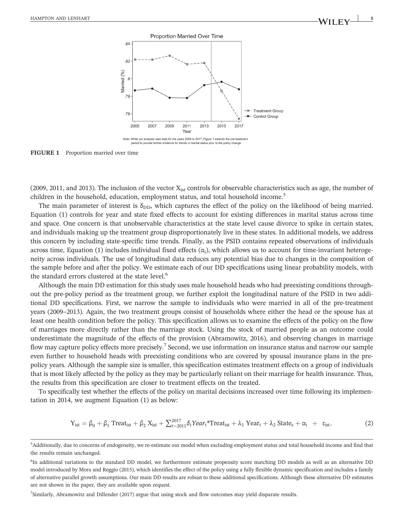

**FIGURE 1** Proportion married over time

(2009, 2011, and 2013). The inclusion of the vector  $X_{ist}$  controls for observable characteristics such as age, the number of children in the household, education, employment status, and total household income.<sup>5</sup>

The main parameter of interest is  $\delta_{DD}$ , which captures the effect of the policy on the likelihood of being married. Equation (1) controls for year and state fixed effects to account for existing differences in marital status across time and space. One concern is that unobservable characteristics at the state level cause divorce to spike in certain states, and individuals making up the treatment group disproportionately live in these states. In additional models, we address this concern by including state‐specific time trends. Finally, as the PSID contains repeated observations of individuals across time, Equation (1) includes individual fixed effects  $(\alpha_i)$ , which allows us to account for time-invariant heterogeneity across individuals. The use of longitudinal data reduces any potential bias due to changes in the composition of the sample before and after the policy. We estimate each of our DD specifications using linear probability models, with the standard errors clustered at the state level.<sup>6</sup>

Although the main DD estimation for this study uses male household heads who had preexisting conditions throughout the pre‐policy period as the treatment group, we further exploit the longitudinal nature of the PSID in two additional DD specifications. First, we narrow the sample to individuals who were married in all of the pre‐treatment years (2009–2013). Again, the two treatment groups consist of households where either the head or the spouse has at least one health condition before the policy. This specification allows us to examine the effects of the policy on the flow of marriages more directly rather than the marriage stock. Using the stock of married people as an outcome could underestimate the magnitude of the effects of the provision (Abramowitz, 2016), and observing changes in marriage flow may capture policy effects more precisely.<sup>7</sup> Second, we use information on insurance status and narrow our sample even further to household heads with preexisting conditions who are covered by spousal insurance plans in the prepolicy years. Although the sample size is smaller, this specification estimates treatment effects on a group of individuals that is most likely affected by the policy as they may be particularly reliant on their marriage for health insurance. Thus, the results from this specification are closer to treatment effects on the treated.

To specifically test whether the effects of the policy on marital decisions increased over time following its implementation in 2014, we augment Equation (1) as below:

$$
Y_{\text{ist}} = \beta_0 + \beta_1 \text{ Treat}_{\text{ist}} + \beta_2 X_{\text{ist}} + \sum_{t=2011}^{2017} \delta_t \text{Year}_t^* \text{ Treat}_{\text{ist}} + \lambda_1 \text{ Year}_t + \lambda_2 \text{ State}_s + \alpha_i + \varepsilon_{\text{ist}}, \tag{2}
$$

7 Similarly, Abramowitz and Dillender (2017) argue that using stock and flow outcomes may yield disparate results.

<sup>&</sup>lt;sub>5</sub><br>5 Additionally, due to concerns of endogeneity, we re-estimate our model when excluding employment status and total household income and find that the results remain unchanged.

<sup>&</sup>lt;sup>6</sup>In additional variations to the standard DD model, we furthermore estimate propensity score matching DD models as well as an alternative DD model introduced by Mora and Reggio (2015), which identifies the effect of the policy using a fully flexible dynamic specification and includes a family of alternative parallel growth assumptions. Our main DD results are robust to these additional specifications. Although these alternative DD estimates are not shown in the paper, they are available upon request.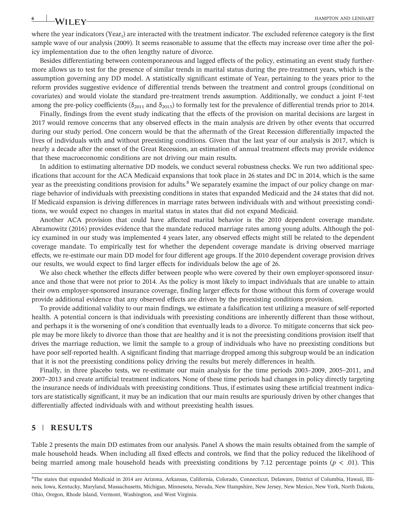where the year indicators (Year<sub>t</sub>) are interacted with the treatment indicator. The excluded reference category is the first sample wave of our analysis (2009). It seems reasonable to assume that the effects may increase over time after the policy implementation due to the often lengthy nature of divorce.

Besides differentiating between contemporaneous and lagged effects of the policy, estimating an event study furthermore allows us to test for the presence of similar trends in marital status during the pre‐treatment years, which is the assumption governing any DD model. A statistically significant estimate of Year<sub>t</sub> pertaining to the years prior to the reform provides suggestive evidence of differential trends between the treatment and control groups (conditional on covariates) and would violate the standard pre‐treatment trends assumption. Additionally, we conduct a joint F‐test among the pre-policy coefficients ( $\delta_{2011}$  and  $\delta_{2013}$ ) to formally test for the prevalence of differential trends prior to 2014.

Finally, findings from the event study indicating that the effects of the provision on marital decisions are largest in 2017 would remove concerns that any observed effects in the main analysis are driven by other events that occurred during our study period. One concern would be that the aftermath of the Great Recession differentially impacted the lives of individuals with and without preexisting conditions. Given that the last year of our analysis is 2017, which is nearly a decade after the onset of the Great Recession, an estimation of annual treatment effects may provide evidence that these macroeconomic conditions are not driving our main results.

In addition to estimating alternative DD models, we conduct several robustness checks. We run two additional specifications that account for the ACA Medicaid expansions that took place in 26 states and DC in 2014, which is the same year as the preexisting conditions provision for adults.<sup>8</sup> We separately examine the impact of our policy change on marriage behavior of individuals with preexisting conditions in states that expanded Medicaid and the 24 states that did not. If Medicaid expansion is driving differences in marriage rates between individuals with and without preexisting conditions, we would expect no changes in marital status in states that did not expand Medicaid.

Another ACA provision that could have affected marital behavior is the 2010 dependent coverage mandate. Abramowitz (2016) provides evidence that the mandate reduced marriage rates among young adults. Although the policy examined in our study was implemented 4 years later, any observed effects might still be related to the dependent coverage mandate. To empirically test for whether the dependent coverage mandate is driving observed marriage effects, we re‐estimate our main DD model for four different age groups. If the 2010 dependent coverage provision drives our results, we would expect to find larger effects for individuals below the age of 26.

We also check whether the effects differ between people who were covered by their own employer-sponsored insurance and those that were not prior to 2014. As the policy is most likely to impact individuals that are unable to attain their own employer‐sponsored insurance coverage, finding larger effects for those without this form of coverage would provide additional evidence that any observed effects are driven by the preexisting conditions provision.

To provide additional validity to our main findings, we estimate a falsification test utilizing a measure of self‐reported health. A potential concern is that individuals with preexisting conditions are inherently different than those without, and perhaps it is the worsening of one's condition that eventually leads to a divorce. To mitigate concerns that sick people may be more likely to divorce than those that are healthy and it is not the preexisting conditions provision itself that drives the marriage reduction, we limit the sample to a group of individuals who have no preexisting conditions but have poor self-reported health. A significant finding that marriage dropped among this subgroup would be an indication that it is not the preexisting conditions policy driving the results but merely differences in health.

Finally, in three placebo tests, we re-estimate our main analysis for the time periods 2003–2009, 2005–2011, and <sup>2007</sup>–2013 and create artificial treatment indicators. None of these time periods had changes in policy directly targeting the insurance needs of individuals with preexisting conditions. Thus, if estimates using these artificial treatment indicators are statistically significant, it may be an indication that our main results are spuriously driven by other changes that differentially affected individuals with and without preexisting health issues.

#### **5** | **RESULTS**

Table 2 presents the main DD estimates from our analysis. Panel A shows the main results obtained from the sample of male household heads. When including all fixed effects and controls, we find that the policy reduced the likelihood of being married among male household heads with preexisting conditions by 7.12 percentage points ( $p < .01$ ). This

<sup>8</sup> The states that expanded Medicaid in 2014 are Arizona, Arkansas, California, Colorado, Connecticut, Delaware, District of Columbia, Hawaii, Illinois, Iowa, Kentucky, Maryland, Massachusetts, Michigan, Minnesota, Nevada, New Hampshire, New Jersey, New Mexico, New York, North Dakota, Ohio, Oregon, Rhode Island, Vermont, Washington, and West Virginia.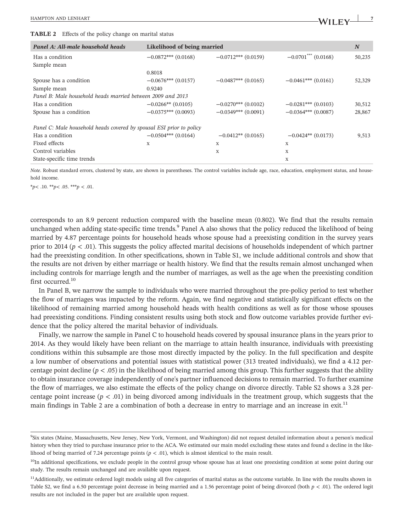| <b>TABLE 2</b> Effects of the policy change on marital status        |                             |                       |                                   |        |  |  |
|----------------------------------------------------------------------|-----------------------------|-----------------------|-----------------------------------|--------|--|--|
| Panel A: All-male household heads                                    | Likelihood of being married |                       |                                   | N      |  |  |
| Has a condition                                                      | $-0.0872***$ (0.0168)       | $-0.0712***$ (0.0159) | $-0.0701$ <sup>***</sup> (0.0168) | 50,235 |  |  |
| Sample mean                                                          |                             |                       |                                   |        |  |  |
|                                                                      | 0.8018                      |                       |                                   |        |  |  |
| Spouse has a condition                                               | $-0.0676***$ (0.0157)       | $-0.0487***$ (0.0165) | $-0.0461***$ (0.0161)             | 52,329 |  |  |
| Sample mean                                                          | 0.9240                      |                       |                                   |        |  |  |
| Panel B: Male household heads married between 2009 and 2013          |                             |                       |                                   |        |  |  |
| Has a condition                                                      | $-0.0266**$ (0.0105)        | $-0.0270***$ (0.0102) | $-0.0281***$ (0.0103)             | 30,512 |  |  |
| Spouse has a condition                                               | $-0.0375***$ (0.0093)       | $-0.0349***$ (0.0091) | $-0.0364***$ (0.0087)             | 28,867 |  |  |
| Panel C: Male household heads covered by spousal ESI prior to policy |                             |                       |                                   |        |  |  |
| Has a condition                                                      | $-0.0504***$ (0.0164)       | $-0.0412**$ (0.0165)  | $-0.0424**$ (0.0173)              | 9,513  |  |  |
| Fixed effects                                                        | X                           | X                     | X                                 |        |  |  |
| Control variables                                                    |                             | X                     | X                                 |        |  |  |
| State-specific time trends                                           |                             |                       | X                                 |        |  |  |

*Note*. Robust standard errors, clustered by state, are shown in parentheses. The control variables include age, race, education, employment status, and household income.

\**p*< .10. \*\**p*< .05. \*\*\**p* < .01.

corresponds to an 8.9 percent reduction compared with the baseline mean (0.802). We find that the results remain unchanged when adding state-specific time trends.<sup>9</sup> Panel A also shows that the policy reduced the likelihood of being married by 4.87 percentage points for household heads whose spouse had a preexisting condition in the survey years prior to 2014 (*p* < .01). This suggests the policy affected marital decisions of households independent of which partner had the preexisting condition. In other specifications, shown in Table S1, we include additional controls and show that the results are not driven by either marriage or health history. We find that the results remain almost unchanged when including controls for marriage length and the number of marriages, as well as the age when the preexisting condition first occurred.<sup>10</sup>

In Panel B, we narrow the sample to individuals who were married throughout the pre-policy period to test whether the flow of marriages was impacted by the reform. Again, we find negative and statistically significant effects on the likelihood of remaining married among household heads with health conditions as well as for those whose spouses had preexisting conditions. Finding consistent results using both stock and flow outcome variables provide further evidence that the policy altered the marital behavior of individuals.

Finally, we narrow the sample in Panel C to household heads covered by spousal insurance plans in the years prior to 2014. As they would likely have been reliant on the marriage to attain health insurance, individuals with preexisting conditions within this subsample are those most directly impacted by the policy. In the full specification and despite a low number of observations and potential issues with statistical power (313 treated individuals), we find a 4.12 percentage point decline ( $p < .05$ ) in the likelihood of being married among this group. This further suggests that the ability to obtain insurance coverage independently of one's partner influenced decisions to remain married. To further examine the flow of marriages, we also estimate the effects of the policy change on divorce directly. Table S2 shows a 3.28 percentage point increase  $(p < .01)$  in being divorced among individuals in the treatment group, which suggests that the main findings in Table 2 are a combination of both a decrease in entry to marriage and an increase in exit.<sup>11</sup>

<sup>9</sup> Six states (Maine, Massachusetts, New Jersey, New York, Vermont, and Washington) did not request detailed information about a person's medical history when they tried to purchase insurance prior to the ACA. We estimated our main model excluding these states and found a decline in the likelihood of being married of 7.24 percentage points  $(p < .01)$ , which is almost identical to the main result.

<sup>&</sup>lt;sup>10</sup>In additional specifications, we exclude people in the control group whose spouse has at least one preexisting condition at some point during our study. The results remain unchanged and are available upon request.

<sup>&</sup>lt;sup>11</sup>Additionally, we estimate ordered logit models using all five categories of marital status as the outcome variable. In line with the results shown in Table S2, we find a 6.50 percentage point decrease in being married and a 1.56 percentage point of being divorced (both *p* < .01). The ordered logit results are not included in the paper but are available upon request.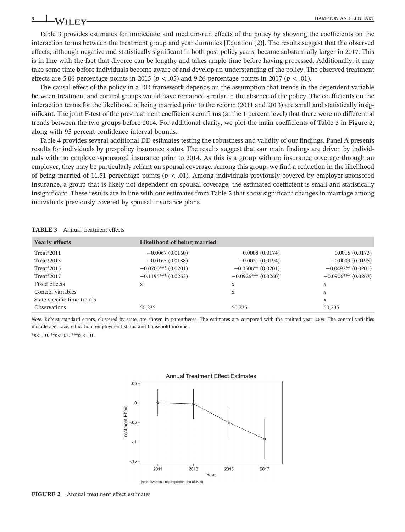Table 3 provides estimates for immediate and medium-run effects of the policy by showing the coefficients on the interaction terms between the treatment group and year dummies [Equation (2)]. The results suggest that the observed effects, although negative and statistically significant in both post‐policy years, became substantially larger in 2017. This is in line with the fact that divorce can be lengthy and takes ample time before having processed. Additionally, it may take some time before individuals become aware of and develop an understanding of the policy. The observed treatment effects are 5.06 percentage points in 2015 ( $p < .05$ ) and 9.26 percentage points in 2017 ( $p < .01$ ).

The causal effect of the policy in a DD framework depends on the assumption that trends in the dependent variable between treatment and control groups would have remained similar in the absence of the policy. The coefficients on the interaction terms for the likelihood of being married prior to the reform (2011 and 2013) are small and statistically insignificant. The joint F‐test of the pre‐treatment coefficients confirms (at the 1 percent level) that there were no differential trends between the two groups before 2014. For additional clarity, we plot the main coefficients of Table 3 in Figure 2, along with 95 percent confidence interval bounds.

Table 4 provides several additional DD estimates testing the robustness and validity of our findings. Panel A presents results for individuals by pre‐policy insurance status. The results suggest that our main findings are driven by individuals with no employer‐sponsored insurance prior to 2014. As this is a group with no insurance coverage through an employer, they may be particularly reliant on spousal coverage. Among this group, we find a reduction in the likelihood of being married of 11.51 percentage points ( $p < .01$ ). Among individuals previously covered by employer-sponsored insurance, a group that is likely not dependent on spousal coverage, the estimated coefficient is small and statistically insignificant. These results are in line with our estimates from Table 2 that show significant changes in marriage among individuals previously covered by spousal insurance plans.

| <b>Yearly effects</b>      | Likelihood of being married |                       |                       |
|----------------------------|-----------------------------|-----------------------|-----------------------|
| Treat*2011                 | $-0.0067(0.0160)$           | 0.0008(0.0174)        | 0.0015(0.0173)        |
| Treat*2013                 | $-0.0165(0.0188)$           | $-0.0021(0.0194)$     | $-0.0009(0.0195)$     |
| Treat*2015                 | $-0.0700***$ (0.0201)       | $-0.0506**$ (0.0201)  | $-0.0492**$ (0.0201)  |
| Treat*2017                 | $-0.1195***$ (0.0263)       | $-0.0926***$ (0.0260) | $-0.0906***$ (0.0263) |
| Fixed effects              | X                           | X                     | X                     |
| Control variables          |                             | X                     | X                     |
| State-specific time trends |                             |                       | X                     |
| Observations               | 50,235                      | 50,235                | 50,235                |

*Note*. Robust standard errors, clustered by state, are shown in parentheses. The estimates are compared with the omitted year 2009. The control variables include age, race, education, employment status and household income.

\**p*< .10. \*\**p*< .05. \*\*\**p* < .01.



**FIGURE 2** Annual treatment effect estimates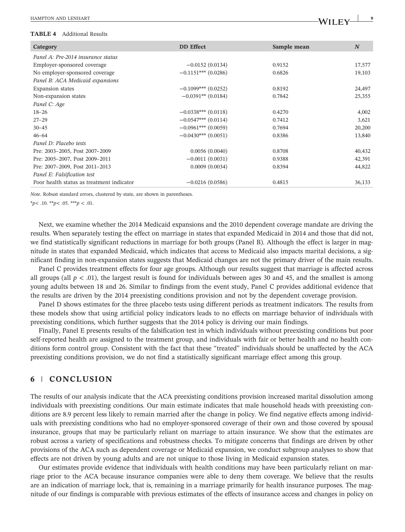#### **TABLE 4** Additional Results

| $\blacksquare$                            |                       |             |                  |
|-------------------------------------------|-----------------------|-------------|------------------|
| Category                                  | <b>DD</b> Effect      | Sample mean | $\boldsymbol{N}$ |
| Panel A: Pre-2014 insurance status        |                       |             |                  |
| Employer-sponsored coverage               | $-0.0152(0.0134)$     | 0.9152      | 17,577           |
| No employer-sponsored coverage            | $-0.1151***$ (0.0286) | 0.6826      | 19,103           |
| Panel B: ACA Medicaid expansions          |                       |             |                  |
| <b>Expansion</b> states                   | $-0.1099***$ (0.0252) | 0.8192      | 24,497           |
| Non-expansion states                      | $-0.0391**$ (0.0184)  | 0.7842      | 25,355           |
| Panel C: Age                              |                       |             |                  |
| $18 - 26$                                 | $-0.0338***$ (0.0118) | 0.4270      | 4,002            |
| $27 - 29$                                 | $-0.0547***$ (0.0114) | 0.7412      | 3,621            |
| $30 - 45$                                 | $-0.0961***$ (0.0059) | 0.7694      | 20,200           |
| $46 - 64$                                 | $-0.0430***$ (0.0051) | 0.8386      | 13,840           |
| Panel D: Placebo tests                    |                       |             |                  |
| Pre: 2003-2005, Post 2007-2009            | 0.0056(0.0040)        | 0.8708      | 40,432           |
| Pre: 2005-2007, Post 2009-2011            | $-0.0011(0.0031)$     | 0.9388      | 42,391           |
| Pre: 2007-2009, Post 2011-2013            | 0.0009(0.0034)        | 0.8394      | 44,822           |
| Panel E: Falsification test               |                       |             |                  |
| Poor health status as treatment indicator | $-0.0216(0.0586)$     | 0.4815      | 36,133           |
|                                           |                       |             |                  |

*Note*. Robust standard errors, clustered by state, are shown in parentheses.

\**p*< .10. \*\**p*< .05. \*\*\**p* < .01.

Next, we examine whether the 2014 Medicaid expansions and the 2010 dependent coverage mandate are driving the results. When separately testing the effect on marriage in states that expanded Medicaid in 2014 and those that did not, we find statistically significant reductions in marriage for both groups (Panel B). Although the effect is larger in magnitude in states that expanded Medicaid, which indicates that access to Medicaid also impacts marital decisions, a significant finding in non‐expansion states suggests that Medicaid changes are not the primary driver of the main results.

Panel C provides treatment effects for four age groups. Although our results suggest that marriage is affected across all groups (all  $p < .01$ ), the largest result is found for individuals between ages 30 and 45, and the smallest is among young adults between 18 and 26. Similar to findings from the event study, Panel C provides additional evidence that the results are driven by the 2014 preexisting conditions provision and not by the dependent coverage provision.

Panel D shows estimates for the three placebo tests using different periods as treatment indicators. The results from these models show that using artificial policy indicators leads to no effects on marriage behavior of individuals with preexisting conditions, which further suggests that the 2014 policy is driving our main findings.

Finally, Panel E presents results of the falsification test in which individuals without preexisting conditions but poor self-reported health are assigned to the treatment group, and individuals with fair or better health and no health conditions form control group. Consistent with the fact that these "treated" individuals should be unaffected by the ACA preexisting conditions provision, we do not find a statistically significant marriage effect among this group.

## **6** | **CONCLUSION**

The results of our analysis indicate that the ACA preexisting conditions provision increased marital dissolution among individuals with preexisting conditions. Our main estimate indicates that male household heads with preexisting conditions are 8.9 percent less likely to remain married after the change in policy. We find negative effects among individuals with preexisting conditions who had no employer‐sponsored coverage of their own and those covered by spousal insurance, groups that may be particularly reliant on marriage to attain insurance. We show that the estimates are robust across a variety of specifications and robustness checks. To mitigate concerns that findings are driven by other provisions of the ACA such as dependent coverage or Medicaid expansion, we conduct subgroup analyses to show that effects are not driven by young adults and are not unique to those living in Medicaid expansion states.

Our estimates provide evidence that individuals with health conditions may have been particularly reliant on marriage prior to the ACA because insurance companies were able to deny them coverage. We believe that the results are an indication of marriage lock, that is, remaining in a marriage primarily for health insurance purposes. The magnitude of our findings is comparable with previous estimates of the effects of insurance access and changes in policy on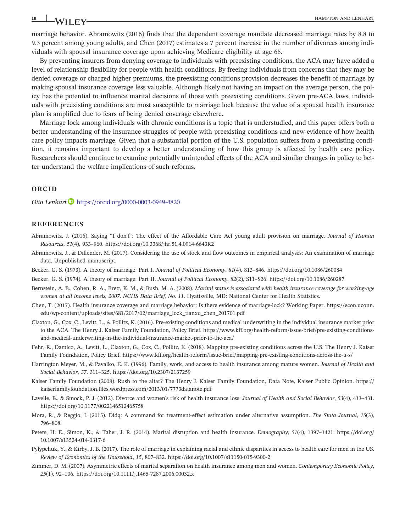marriage behavior. Abramowitz (2016) finds that the dependent coverage mandate decreased marriage rates by 8.8 to 9.3 percent among young adults, and Chen (2017) estimates a 7 percent increase in the number of divorces among individuals with spousal insurance coverage upon achieving Medicare eligibility at age 65.

By preventing insurers from denying coverage to individuals with preexisting conditions, the ACA may have added a level of relationship flexibility for people with health conditions. By freeing individuals from concerns that they may be denied coverage or charged higher premiums, the preexisting conditions provision decreases the benefit of marriage by making spousal insurance coverage less valuable. Although likely not having an impact on the average person, the policy has the potential to influence marital decisions of those with preexisting conditions. Given pre‐ACA laws, individuals with preexisting conditions are most susceptible to marriage lock because the value of a spousal health insurance plan is amplified due to fears of being denied coverage elsewhere.

Marriage lock among individuals with chronic conditions is a topic that is understudied, and this paper offers both a better understanding of the insurance struggles of people with preexisting conditions and new evidence of how health care policy impacts marriage. Given that a substantial portion of the U.S. population suffers from a preexisting condition, it remains important to develop a better understanding of how this group is affected by health care policy. Researchers should continue to examine potentially unintended effects of the ACA and similar changes in policy to better understand the welfare implications of such reforms.

#### **ORCID**

*Otto Lenhart* <https://orcid.org/0000-0003-0949-4820>

#### **REFERENCES**

- Abramowitz, J. (2016). Saying "I don't": The effect of the Affordable Care Act young adult provision on marriage. *Journal of Human Resources*, *<sup>51</sup>*(4), 933–960. [https://doi.org/10.3368/jhr.51.4.0914](https://doi.org/10.3368/jhr.51.4.0914-6643R2)‐6643R2
- Abramowitz, J., & Dillender, M. (2017). Considering the use of stock and flow outcomes in empirical analyses: An examination of marriage data. Unpublished manuscript.
- Becker, G. S. (1973). A theory of marriage: Part I. *Journal of Political Economy*, *<sup>81</sup>*(4), 813–846.<https://doi.org/10.1086/260084>
- Becker, G. S. (1974). A theory of marriage: Part II. *Journal of Political Economy*, *<sup>82</sup>*(2), S11–S26.<https://doi.org/10.1086/260287> Becker, G. S. (1973). A theory of marriage: Part I. *Journal of Political Economy*, 81(4), 813–846. https://doi.org/10.1086/260084<br>Becker, G. S. (1974). A theory of marriage: Part II. *Journal of Political Economy*, 82(2),
- *women at all income levels, 2007*. *NCHS Data Brief, No. 11*. Hyattsville, MD: National Center for Health Statistics.
- Chen, T. (2017). Health insurance coverage and marriage behavior: Is there evidence of marriage‐lock? Working Paper. [https://econ.uconn.](https://econ.uconn.edu/wp-content/uploads/sites/681/2017/02/marriage_lock_tianxu_chen_201701.pdf) edu/wp‐[content/uploads/sites/681/2017/02/marriage\\_lock\\_tianxu\\_chen\\_201701.pdf](https://econ.uconn.edu/wp-content/uploads/sites/681/2017/02/marriage_lock_tianxu_chen_201701.pdf)
- Claxton, G., Cox, C., Levitt, L., & Pollitz, K. (2016). Pre‐existing conditions and medical underwriting in the individual insurance market prior to the ACA. The Henry J. Kaiser Family Foundation, Policy Brief. [https://www.kff.org/health](https://www.kff.org/health-reform/issue-brief/pre-existing-conditions-and-medical-underwriting-in-the-individual-insurance-market-prior-to-the-aca/)-reform/issue-brief/pre-existing-conditionsand‐medical‐[underwriting](https://www.kff.org/health-reform/issue-brief/pre-existing-conditions-and-medical-underwriting-in-the-individual-insurance-market-prior-to-the-aca/)‐in‐the‐individual‐insurance‐market‐prior‐to‐the‐aca/
- Fehr, R., Damico, A., Levitt, L., Claxton, G., Cox, C., Pollitz, K. (2018). Mapping pre‐existing conditions across the U.S. The Henry J. Kaiser Family Foundation, Policy Brief. [https://www.kff.org/health](https://www.kff.org/health-reform/issue-brief/mapping-pre-existing-conditions-across-the-u-s/)‐reform/issue‐brief/mapping‐pre‐existing‐conditions‐across‐the‐u‐s/
- Harrington Meyer, M., & Pavalko, E. K. (1996). Family, work, and access to health insurance among mature women. *Journal of Health and Social Behavior*, *<sup>37</sup>*, 311–325.<https://doi.org/10.2307/2137259>
- Kaiser Family Foundation (2008). Rush to the altar? The Henry J. Kaiser Family Foundation, Data Note, Kaiser Public Opinion. [https://](https://kaiserfamilyfoundation.files.wordpress.com/2013/01/7773datanote.pdf) [kaiserfamilyfoundation.files.wordpress.com/2013/01/7773datanote.pdf](https://kaiserfamilyfoundation.files.wordpress.com/2013/01/7773datanote.pdf)
- Lavelle, B., & Smock, P. J. (2012). Divorce and women's risk of health insurance loss. *Journal of Health and Social Behavior*, *<sup>53</sup>*(4), 413–431. <https://doi.org/10.1177/0022146512465758>
- Mora, R., & Reggio, I. (2015). Didq: A command for treatment‐effect estimation under alternative assumption. *The Stata Journal*, *<sup>15</sup>*(3), <sup>796</sup>–808.
- Peters, H. E., Simon, K., & Taber, J. R. (2014). Marital disruption and health insurance. *Demography*, *<sup>51</sup>*(4), 1397–1421. [https://doi.org/](https://doi.org/10.1007/s13524-014-0317-6) [10.1007/s13524](https://doi.org/10.1007/s13524-014-0317-6)‐014‐0317‐<sup>6</sup>
- Pylypchuk, Y., & Kirby, J. B. (2017). The role of marriage in explaining racial and ethnic disparities in access to health care for men in the US. *Review of Economics of the Household*, *<sup>15</sup>*, 807–832. [https://doi.org/10.1007/s11150](https://doi.org/10.1007/s11150-015-9300-2)‐015‐9300‐<sup>2</sup>
- Zimmer, D. M. (2007). Asymmetric effects of marital separation on health insurance among men and women. *Contemporary Economic Policy*, *<sup>25</sup>*(1), 92–106. [https://doi.org/10.1111/j.1465](https://doi.org/10.1111/j.1465-7287.2006.00032.x)‐7287.2006.00032.x